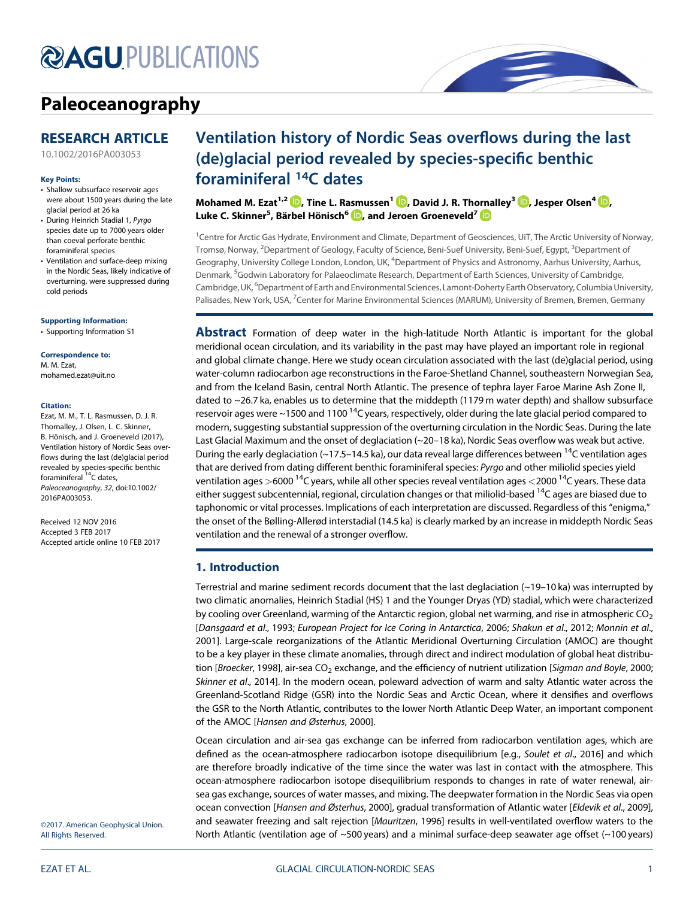# **@AGU[PUBLICATIONS](http://publications.agu.org/journals/)**

## [Paleoceanography](http://onlinelibrary.wiley.com/journal/10.1002/(ISSN)1944-9186)

### RESEARCH ARTICLE

[10.1002/2016PA003053](http://dx.doi.org/10.1002/2016PA003053)

#### Key Points:

- Shallow subsurface reservoir ages were about 1500 years during the late glacial period at 26 ka
- During Heinrich Stadial 1, Pyrgo species date up to 7000 years older than coeval perforate benthic foraminiferal species
- in the Nordic Seas, likely indicative of overturning, were suppressed during cold periods

[Supporting Information:](http://dx.doi.org/10.1002/2016PA003053)

[•](http://dx.doi.org/10.1002/2016PA003053) [Supporting Information S1](http://dx.doi.org/10.1002/2016PA003053)

Correspondence to: M. M. Ezat, [mohamed.ezat@uit.no](mailto:mohamed.ezat@uit.no)

#### Citation:

Ezat, M. M., T. L. Rasmussen, D. J. R. Thornalley, J. Olsen, L. C. Skinner, B. Hönisch, and J. Groeneveld (2017), Ventilation history of Nordic Seas overflows during the last (de)glacial period revealed by species-specific benthic<br>foraminiferal <sup>14</sup>C dates, Paleoceanography, 32, doi:10.1002/ 2016PA003053.

Accepted 3 FEB 2017 Accepted article online 10 FEB 2017

Received 12 NOV 2016

• Ventilation and surface-deep mixing

Ventilation history of Nordic Seas overflows during the last (de)glacial period revealed by species-specific benthic foraminiferal 14C dates

Mohamed M. Ezat<sup>1[,](http://orcid.org/0000-0002-4445-5520)2</sup>  $\mathbb{D}$ , Tine L. Rasmussen<sup>1</sup>  $\mathbb{D}$ , David J. R. Thornalley<sup>3</sup>  $\mathbb{D}$ , Jesper Olsen<sup>4</sup>  $\mathbb{D}$ , Luke C. Skinner<sup>5</sup>, Bärbel Hönisch<sup>6</sup> D, and Jeroen Groeneveld<sup>7</sup>

<sup>1</sup> Centre for Arctic Gas Hydrate, Environment and Climate, Department of Geosciences, UiT, The Arctic University of Norway, Tromsø, Norway, <sup>2</sup>Department of Geology, Faculty of Science, Beni-Suef University, Beni-Suef, Egypt, <sup>3</sup>Department of Geography, University College London, London, UK, <sup>4</sup>Department of Physics and Astronomy, Aarhus University, Aarhus, Denmark, <sup>5</sup>Godwin Laboratory for Palaeoclimate Research, Department of Earth Sciences, University of Cambridge, Cambridge, UK, <sup>6</sup>Department of Earth and Environmental Sciences, Lamont-Doherty Earth Observatory, Columbia University, Palisades, New York, USA, <sup>7</sup>Center for Marine Environmental Sciences (MARUM), University of Bremen, Bremen, Germany

**Abstract** Formation of deep water in the high-latitude North Atlantic is important for the global meridional ocean circulation, and its variability in the past may have played an important role in regional and global climate change. Here we study ocean circulation associated with the last (de)glacial period, using water-column radiocarbon age reconstructions in the Faroe-Shetland Channel, southeastern Norwegian Sea, and from the Iceland Basin, central North Atlantic. The presence of tephra layer Faroe Marine Ash Zone II, dated to ~26.7 ka, enables us to determine that the middepth (1179 m water depth) and shallow subsurface reservoir ages were ~1500 and 1100 <sup>14</sup>C years, respectively, older during the late glacial period compared to modern, suggesting substantial suppression of the overturning circulation in the Nordic Seas. During the late Last Glacial Maximum and the onset of deglaciation (~20–18 ka), Nordic Seas overflow was weak but active. During the early deglaciation (~17.5–14.5 ka), our data reveal large differences between  $14$ C ventilation ages that are derived from dating different benthic foraminiferal species: Pyrgo and other miliolid species yield ventilation ages >6000<sup>14</sup>C years, while all other species reveal ventilation ages <2000<sup>14</sup>C years. These data either suggest subcentennial, regional, circulation changes or that miliolid-based <sup>14</sup>C ages are biased due to taphonomic or vital processes. Implications of each interpretation are discussed. Regardless of this "enigma," the onset of the Bølling-Allerød interstadial (14.5 ka) is clearly marked by an increase in middepth Nordic Seas ventilation and the renewal of a stronger overflow.

#### 1. Introduction

Terrestrial and marine sediment records document that the last deglaciation (~19–10 ka) was interrupted by two climatic anomalies, Heinrich Stadial (HS) 1 and the Younger Dryas (YD) stadial, which were characterized by cooling over Greenland, warming of the Antarctic region, global net warming, and rise in atmospheric  $CO<sub>2</sub>$ [Dansgaard et al., 1993; European Project for Ice Coring in Antarctica, 2006; Shakun et al., 2012; Monnin et al., 2001]. Large-scale reorganizations of the Atlantic Meridional Overturning Circulation (AMOC) are thought to be a key player in these climate anomalies, through direct and indirect modulation of global heat distribution [Broecker, 1998], air-sea CO<sub>2</sub> exchange, and the efficiency of nutrient utilization [Sigman and Boyle, 2000; Skinner et al., 2014]. In the modern ocean, poleward advection of warm and salty Atlantic water across the Greenland-Scotland Ridge (GSR) into the Nordic Seas and Arctic Ocean, where it densifies and overflows the GSR to the North Atlantic, contributes to the lower North Atlantic Deep Water, an important component of the AMOC [Hansen and Østerhus, 2000].

Ocean circulation and air-sea gas exchange can be inferred from radiocarbon ventilation ages, which are defined as the ocean-atmosphere radiocarbon isotope disequilibrium [e.g., Soulet et al., 2016] and which are therefore broadly indicative of the time since the water was last in contact with the atmosphere. This ocean-atmosphere radiocarbon isotope disequilibrium responds to changes in rate of water renewal, airsea gas exchange, sources of water masses, and mixing. The deepwater formation in the Nordic Seas via open ocean convection [Hansen and Østerhus, 2000], gradual transformation of Atlantic water [Eldevik et al., 2009], and seawater freezing and salt rejection [Mauritzen, 1996] results in well-ventilated overflow waters to the North Atlantic (ventilation age of ~500 years) and a minimal surface-deep seawater age offset (~100 years)

©2017. American Geophysical Union. All Rights Reserved.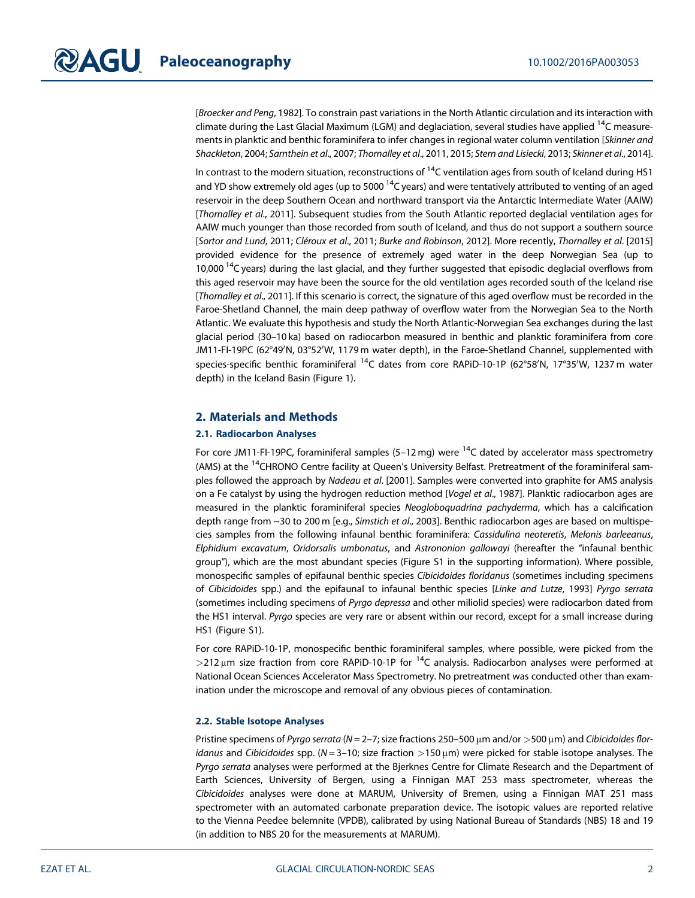[Broecker and Peng, 1982]. To constrain past variations in the North Atlantic circulation and its interaction with climate during the Last Glacial Maximum (LGM) and deglaciation, several studies have applied  $14$ C measurements in planktic and benthic foraminifera to infer changes in regional water column ventilation [Skinner and Shackleton, 2004; Sarnthein et al., 2007; Thornalley et al., 2011, 2015; Stern and Lisiecki, 2013; Skinner et al., 2014].

In contrast to the modern situation, reconstructions of  $14C$  ventilation ages from south of Iceland during HS1 and YD show extremely old ages (up to 5000  $14$ C years) and were tentatively attributed to venting of an aged reservoir in the deep Southern Ocean and northward transport via the Antarctic Intermediate Water (AAIW) [Thornalley et al., 2011]. Subsequent studies from the South Atlantic reported deglacial ventilation ages for AAIW much younger than those recorded from south of Iceland, and thus do not support a southern source [Sortor and Lund, 2011; Cléroux et al., 2011; Burke and Robinson, 2012]. More recently, Thornalley et al. [2015] provided evidence for the presence of extremely aged water in the deep Norwegian Sea (up to 10,000<sup>14</sup>C years) during the last glacial, and they further suggested that episodic deglacial overflows from this aged reservoir may have been the source for the old ventilation ages recorded south of the Iceland rise [Thornalley et al., 2011]. If this scenario is correct, the signature of this aged overflow must be recorded in the Faroe-Shetland Channel, the main deep pathway of overflow water from the Norwegian Sea to the North Atlantic. We evaluate this hypothesis and study the North Atlantic-Norwegian Sea exchanges during the last glacial period (30–10 ka) based on radiocarbon measured in benthic and planktic foraminifera from core JM11-FI-19PC (62°49'N, 03°52'W, 1179 m water depth), in the Faroe-Shetland Channel, supplemented with species-specific benthic foraminiferal <sup>14</sup>C dates from core RAPiD-10-1P (62°58'N, 17°35'W, 1237 m water depth) in the Iceland Basin (Figure 1).

#### 2. Materials and Methods

#### 2.1. Radiocarbon Analyses

For core JM11-FI-19PC, foraminiferal samples (5-12 mg) were  $14C$  dated by accelerator mass spectrometry (AMS) at the <sup>14</sup>CHRONO Centre facility at Queen's University Belfast. Pretreatment of the foraminiferal samples followed the approach by Nadeau et al. [2001]. Samples were converted into graphite for AMS analysis on a Fe catalyst by using the hydrogen reduction method [Vogel et al., 1987]. Planktic radiocarbon ages are measured in the planktic foraminiferal species Neogloboquadrina pachyderma, which has a calcification depth range from ~30 to 200 m [e.g., Simstich et al., 2003]. Benthic radiocarbon ages are based on multispecies samples from the following infaunal benthic foraminifera: Cassidulina neoteretis, Melonis barleeanus, Elphidium excavatum, Oridorsalis umbonatus, and Astrononion gallowayi (hereafter the "infaunal benthic group"), which are the most abundant species (Figure S1 in the supporting information). Where possible, monospecific samples of epifaunal benthic species Cibicidoides floridanus (sometimes including specimens of Cibicidoides spp.) and the epifaunal to infaunal benthic species [Linke and Lutze, 1993] Pyrgo serrata (sometimes including specimens of Pyrgo depressa and other miliolid species) were radiocarbon dated from the HS1 interval. Pyrgo species are very rare or absent within our record, except for a small increase during HS1 (Figure S1).

For core RAPiD-10-1P, monospecific benthic foraminiferal samples, where possible, were picked from the  $>$ 212 µm size fraction from core RAPiD-10-1P for  $<sup>14</sup>C$  analysis. Radiocarbon analyses were performed at</sup> National Ocean Sciences Accelerator Mass Spectrometry. No pretreatment was conducted other than examination under the microscope and removal of any obvious pieces of contamination.

#### 2.2. Stable Isotope Analyses

Pristine specimens of Pyrgo serrata ( $N = 2-7$ ; size fractions 250-500  $\mu$ m and/or  $>$ 500  $\mu$ m) and Cibicidoides floridanus and Cibicidoides spp. (N = 3-10; size fraction >150  $\mu$ m) were picked for stable isotope analyses. The Pyrgo serrata analyses were performed at the Bjerknes Centre for Climate Research and the Department of Earth Sciences, University of Bergen, using a Finnigan MAT 253 mass spectrometer, whereas the Cibicidoides analyses were done at MARUM, University of Bremen, using a Finnigan MAT 251 mass spectrometer with an automated carbonate preparation device. The isotopic values are reported relative to the Vienna Peedee belemnite (VPDB), calibrated by using National Bureau of Standards (NBS) 18 and 19 (in addition to NBS 20 for the measurements at MARUM).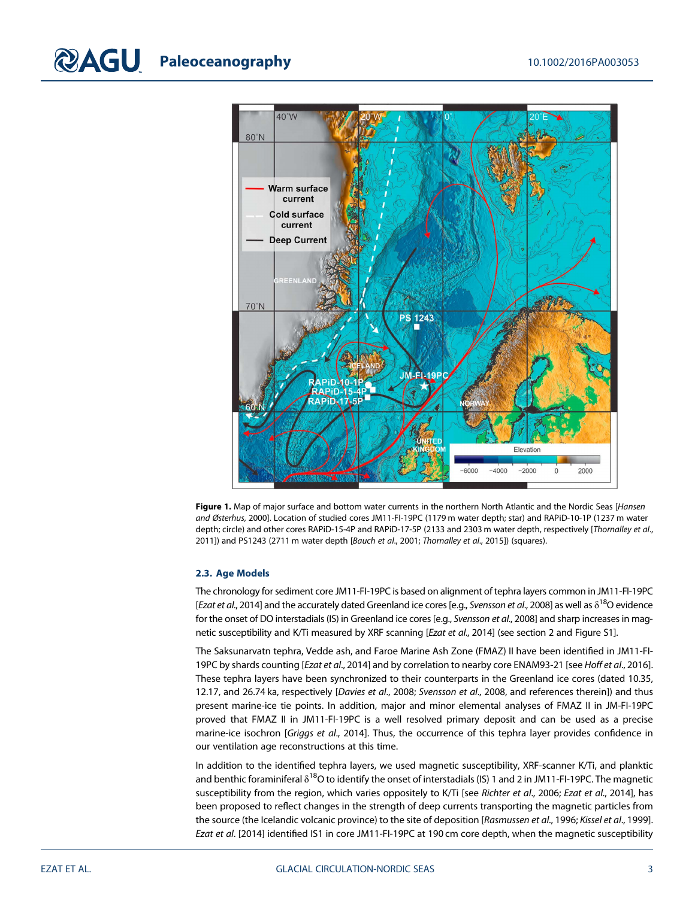

Figure 1. Map of major surface and bottom water currents in the northern North Atlantic and the Nordic Seas [Hansen and Østerhus, 2000]. Location of studied cores JM11-FI-19PC (1179 m water depth; star) and RAPiD-10-1P (1237 m water depth; circle) and other cores RAPiD-15-4P and RAPiD-17-5P (2133 and 2303 m water depth, respectively [Thornalley et al., 2011]) and PS1243 (2711 m water depth [Bauch et al., 2001; Thornalley et al., 2015]) (squares).

#### 2.3. Age Models

The chronology for sediment core JM11-FI-19PC is based on alignment of tephra layers common in JM11-FI-19PC [Ezat et al., 2014] and the accurately dated Greenland ice cores [e.g., Svensson et al., 2008] as well as  $\delta^{18}$ O evidence for the onset of DO interstadials (IS) in Greenland ice cores [e.g., Svensson et al., 2008] and sharp increases in magnetic susceptibility and K/Ti measured by XRF scanning [Ezat et al., 2014] (see section 2 and Figure S1].

The Saksunarvatn tephra, Vedde ash, and Faroe Marine Ash Zone (FMAZ) II have been identified in JM11-FI-19PC by shards counting [Ezat et al., 2014] and by correlation to nearby core ENAM93-21 [see Hoff et al., 2016]. These tephra layers have been synchronized to their counterparts in the Greenland ice cores (dated 10.35, 12.17, and 26.74 ka, respectively [Davies et al., 2008; Svensson et al., 2008, and references therein]) and thus present marine-ice tie points. In addition, major and minor elemental analyses of FMAZ II in JM-FI-19PC proved that FMAZ II in JM11-FI-19PC is a well resolved primary deposit and can be used as a precise marine-ice isochron [Griggs et al., 2014]. Thus, the occurrence of this tephra layer provides confidence in our ventilation age reconstructions at this time.

In addition to the identified tephra layers, we used magnetic susceptibility, XRF-scanner K/Ti, and planktic and benthic foraminiferal  $\delta^{18}$ O to identify the onset of interstadials (IS) 1 and 2 in JM11-FI-19PC. The magnetic susceptibility from the region, which varies oppositely to K/Ti [see Richter et al., 2006; Ezat et al., 2014], has been proposed to reflect changes in the strength of deep currents transporting the magnetic particles from the source (the Icelandic volcanic province) to the site of deposition [Rasmussen et al., 1996; Kissel et al., 1999]. Ezat et al. [2014] identified IS1 in core JM11-FI-19PC at 190 cm core depth, when the magnetic susceptibility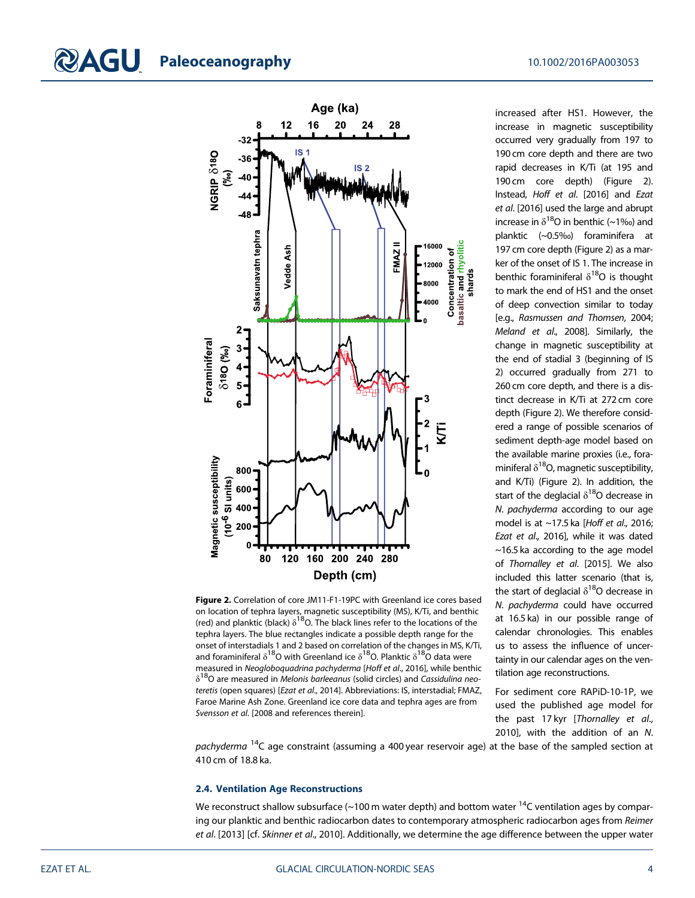

Figure 2. Correlation of core JM11-F1-19PC with Greenland ice cores based on location of tephra layers, magnetic susceptibility (MS), K/Ti, and benthic (red) and planktic (black)  $\delta^{18}$ O. The black lines refer to the locations of the tephra layers. The blue rectangles indicate a possible depth range for the onset of interstadials 1 and 2 based on correlation of the changes in MS, K/Ti, and foraminiferal  $\delta^{18}$ O with Greenland ice  $\delta^{18}$ O. Planktic  $\delta^{18}$ O data were measured in Neogloboquadrina pachyderma [Hoff et al., 2016], while benthic  $\delta^{18}$ O are measured in *Melonis barleeanus* (solid circles) and *Cassidulina neo*teretis (open squares) [Ezat et al., 2014]. Abbreviations: IS, interstadial; FMAZ, Faroe Marine Ash Zone. Greenland ice core data and tephra ages are from Svensson et al. [2008 and references therein].

increased after HS1. However, the increase in magnetic susceptibility occurred very gradually from 197 to 190 cm core depth and there are two rapid decreases in K/Ti (at 195 and 190 cm core depth) (Figure 2). Instead, Hoff et al. [2016] and Ezat et al. [2016] used the large and abrupt increase in  $\delta^{18}$ O in benthic (~1‰) and planktic (~0.5‰) foraminifera at 197 cm core depth (Figure 2) as a marker of the onset of IS 1. The increase in benthic foraminiferal  $\delta^{18}O$  is thought to mark the end of HS1 and the onset of deep convection similar to today [e.g., Rasmussen and Thomsen, 2004; Meland et al., 2008]. Similarly, the change in magnetic susceptibility at the end of stadial 3 (beginning of IS 2) occurred gradually from 271 to 260 cm core depth, and there is a distinct decrease in K/Ti at 272 cm core depth (Figure 2). We therefore considered a range of possible scenarios of sediment depth-age model based on the available marine proxies (i.e., foraminiferal  $\delta^{18}O$ , magnetic susceptibility, and K/Ti) (Figure 2). In addition, the start of the deglacial  $\delta^{18}$ O decrease in N. pachyderma according to our age model is at  $\sim$ 17.5 ka [Hoff et al., 2016; Ezat et al., 2016], while it was dated  $\sim$ 16.5 ka according to the age model of Thornalley et al. [2015]. We also included this latter scenario (that is, the start of deglacial  $\delta^{18}$ O decrease in N. pachyderma could have occurred at 16.5 ka) in our possible range of calendar chronologies. This enables us to assess the influence of uncertainty in our calendar ages on the ventilation age reconstructions.

For sediment core RAPiD-10-1P, we used the published age model for the past 17 kyr [Thornalley et al., 2010], with the addition of an N.

pachyderma <sup>14</sup>C age constraint (assuming a 400 year reservoir age) at the base of the sampled section at 410 cm of 18.8 ka.

#### 2.4. Ventilation Age Reconstructions

We reconstruct shallow subsurface ( $\sim$ 100 m water depth) and bottom water  $^{14}$ C ventilation ages by comparing our planktic and benthic radiocarbon dates to contemporary atmospheric radiocarbon ages from Reimer et al. [2013] [cf. Skinner et al., 2010]. Additionally, we determine the age difference between the upper water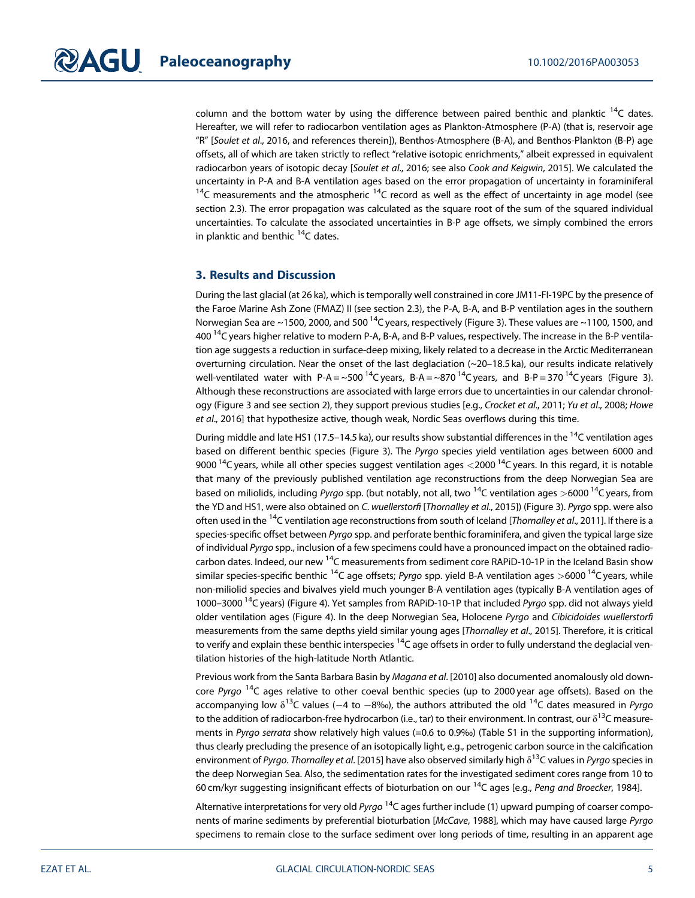column and the bottom water by using the difference between paired benthic and planktic  $14C$  dates. Hereafter, we will refer to radiocarbon ventilation ages as Plankton-Atmosphere (P-A) (that is, reservoir age "R" [Soulet et al., 2016, and references therein]), Benthos-Atmosphere (B-A), and Benthos-Plankton (B-P) age offsets, all of which are taken strictly to reflect "relative isotopic enrichments," albeit expressed in equivalent radiocarbon years of isotopic decay [Soulet et al., 2016; see also Cook and Keigwin, 2015]. We calculated the uncertainty in P-A and B-A ventilation ages based on the error propagation of uncertainty in foraminiferal  $14C$  measurements and the atmospheric  $14C$  record as well as the effect of uncertainty in age model (see section 2.3). The error propagation was calculated as the square root of the sum of the squared individual uncertainties. To calculate the associated uncertainties in B-P age offsets, we simply combined the errors in planktic and benthic <sup>14</sup>C dates.

#### 3. Results and Discussion

During the last glacial (at 26 ka), which is temporally well constrained in core JM11-FI-19PC by the presence of the Faroe Marine Ash Zone (FMAZ) II (see section 2.3), the P-A, B-A, and B-P ventilation ages in the southern Norwegian Sea are ~1500, 2000, and 500<sup>14</sup>C years, respectively (Figure 3). These values are ~1100, 1500, and 400 14C years higher relative to modern P-A, B-A, and B-P values, respectively. The increase in the B-P ventilation age suggests a reduction in surface-deep mixing, likely related to a decrease in the Arctic Mediterranean overturning circulation. Near the onset of the last deglaciation (~20–18.5 ka), our results indicate relatively well-ventilated water with P-A = ~500<sup>14</sup>C years, B-A = ~870<sup>14</sup>C years, and B-P = 370<sup>14</sup>C years (Figure 3). Although these reconstructions are associated with large errors due to uncertainties in our calendar chronology (Figure 3 and see section 2), they support previous studies [e.g., Crocket et al., 2011; Yu et al., 2008; Howe et al., 2016] that hypothesize active, though weak, Nordic Seas overflows during this time.

During middle and late HS1 (17.5–14.5 ka), our results show substantial differences in the <sup>14</sup>C ventilation ages based on different benthic species (Figure 3). The Pyrgo species yield ventilation ages between 6000 and 9000<sup>14</sup>C years, while all other species suggest ventilation ages <2000<sup>14</sup>C years. In this regard, it is notable that many of the previously published ventilation age reconstructions from the deep Norwegian Sea are based on miliolids, including Pyrgo spp. (but notably, not all, two <sup>14</sup>C ventilation ages >6000<sup>14</sup>C years, from the YD and HS1, were also obtained on C. wuellerstorfi [Thornalley et al., 2015]) (Figure 3). Pyrgo spp. were also often used in the  $^{14}$ C ventilation age reconstructions from south of Iceland [Thornalley et al., 2011]. If there is a species-specific offset between Pyrgo spp. and perforate benthic foraminifera, and given the typical large size of individual Pyrgo spp., inclusion of a few specimens could have a pronounced impact on the obtained radiocarbon dates. Indeed, our new <sup>14</sup>C measurements from sediment core RAPiD-10-1P in the Iceland Basin show similar species-specific benthic  $^{14}C$  age offsets; Pyrgo spp. yield B-A ventilation ages >6000  $^{14}C$  years, while non-miliolid species and bivalves yield much younger B-A ventilation ages (typically B-A ventilation ages of 1000–3000<sup>14</sup>C years) (Figure 4). Yet samples from RAPiD-10-1P that included *Pyrgo* spp. did not always yield older ventilation ages (Figure 4). In the deep Norwegian Sea, Holocene Pyrgo and Cibicidoides wuellerstorfi measurements from the same depths yield similar young ages [Thornalley et al., 2015]. Therefore, it is critical to verify and explain these benthic interspecies  $^{14}C$  age offsets in order to fully understand the deglacial ventilation histories of the high-latitude North Atlantic.

Previous work from the Santa Barbara Basin by Magana et al. [2010] also documented anomalously old downcore Pyrgo <sup>14</sup>C ages relative to other coeval benthic species (up to 2000 year age offsets). Based on the accompanying low  $\delta^{13}$ C values (-4 to -8‰), the authors attributed the old  $^{14}$ C dates measured in Pyrgo to the addition of radiocarbon-free hydrocarbon (i.e., tar) to their environment. In contrast, our  $\delta^{13}$ C measurements in Pyrgo serrata show relatively high values (=0.6 to 0.9‰) (Table S1 in the supporting information), thus clearly precluding the presence of an isotopically light, e.g., petrogenic carbon source in the calcification environment of Pyrgo. Thornalley et al. [2015] have also observed similarly high  $\delta^{13}$ C values in Pyrgo species in the deep Norwegian Sea. Also, the sedimentation rates for the investigated sediment cores range from 10 to 60 cm/kyr suggesting insignificant effects of bioturbation on our 14C ages [e.g., Peng and Broecker, 1984].

Alternative interpretations for very old Pyrgo  $14C$  ages further include (1) upward pumping of coarser components of marine sediments by preferential bioturbation [McCave, 1988], which may have caused large Pyrgo specimens to remain close to the surface sediment over long periods of time, resulting in an apparent age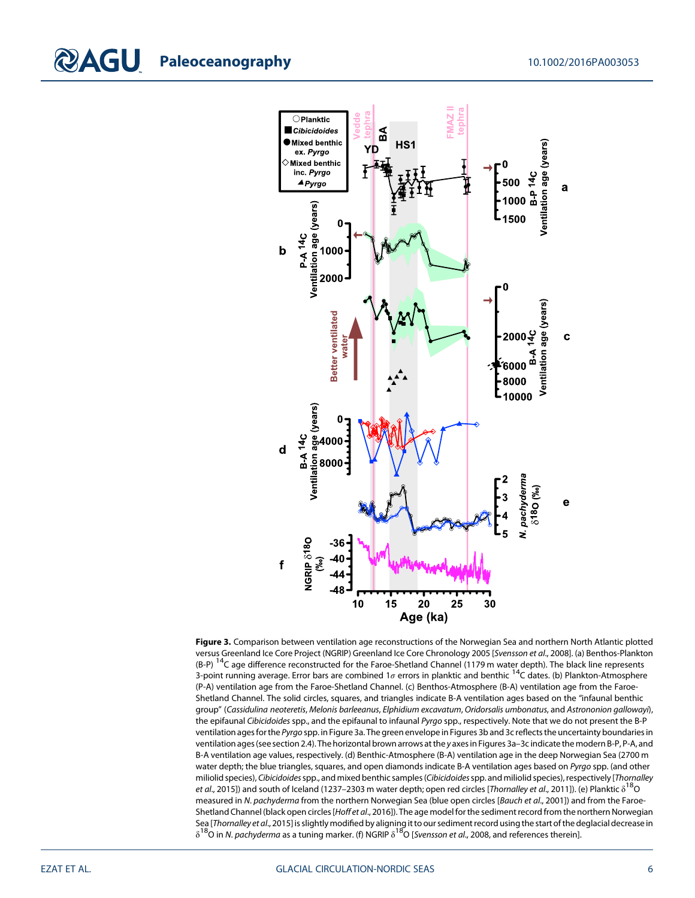

Figure 3. Comparison between ventilation age reconstructions of the Norwegian Sea and northern North Atlantic plotted versus Greenland Ice Core Project (NGRIP) Greenland Ice Core Chronology 2005 [Svensson et al., 2008]. (a) Benthos-Plankton (B-P)<sup>14</sup>C age difference reconstructed for the Faroe-Shetland Channel (1179 m water depth). The black line represents 3-point running average. Error bars are combined 1σ errors in planktic and benthic <sup>14</sup>C dates. (b) Plankton-Atmosphere (P-A) ventilation age from the Faroe-Shetland Channel. (c) Benthos-Atmosphere (B-A) ventilation age from the Faroe-Shetland Channel. The solid circles, squares, and triangles indicate B-A ventilation ages based on the "infaunal benthic group" (Cassidulina neoteretis, Melonis barleeanus, Elphidium excavatum, Oridorsalis umbonatus, and Astrononion gallowayi), the epifaunal Cibicidoides spp., and the epifaunal to infaunal Pyrgo spp., respectively. Note that we do not present the B-P ventilation ages for the Pyrgo spp. in Figure 3a. The green envelope in Figures 3b and 3c reflects the uncertainty boundaries in ventilation ages (see section 2.4). The horizontal brown arrows at the y axes in Figures 3a–3c indicate the modern B-P, P-A, and B-A ventilation age values, respectively. (d) Benthic-Atmosphere (B-A) ventilation age in the deep Norwegian Sea (2700 m water depth; the blue triangles, squares, and open diamonds indicate B-A ventilation ages based on Pyrgo spp. (and other miliolid species), Cibicidoidesspp., and mixed benthic samples (Cibicidoidesspp. and miliolid species), respectively [Thornalley et al., 2015]) and south of Iceland (1237–2303 m water depth; open red circles [Thornalley et al., 2011]). (e) Planktic  $\delta^{18}$ O measured in N. pachyderma from the northern Norwegian Sea (blue open circles [Bauch et al., 2001]) and from the Faroe-Shetland Channel (black open circles [Hoff et al., 2016]). The age model for the sediment record from the northern Norwegian Sea [Thornalley et al., 2015] is slightly modified by aligning it to our sediment record using the start of the deglacial decrease in  $\delta^{18}$ O in N. pachyderma as a tuning marker. (f) NGRIP  $\delta^{18}$ O [Svensson et al., 2008, and references therein].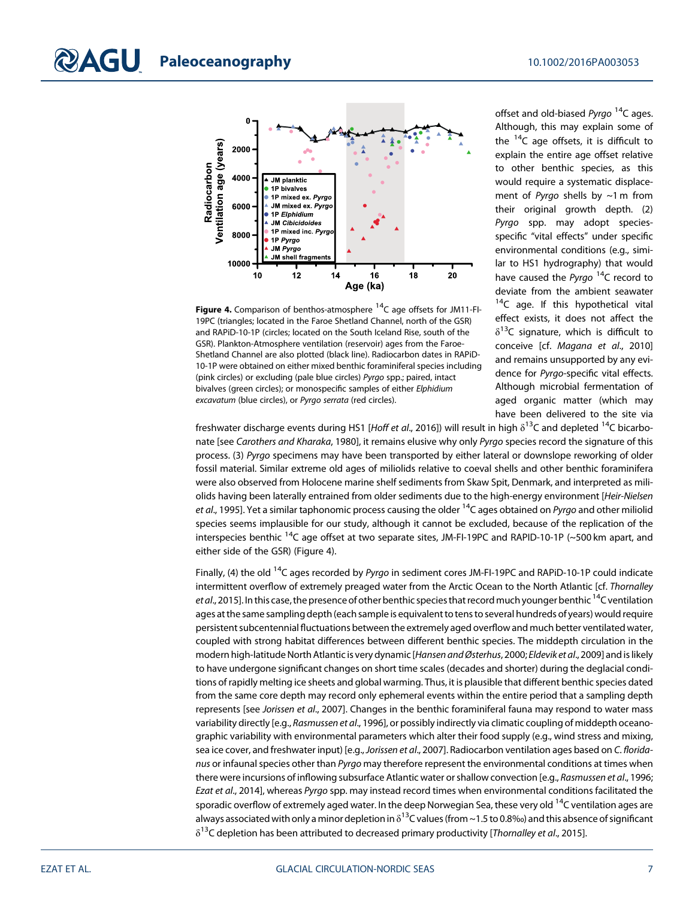

Figure 4. Comparison of benthos-atmosphere  $^{14}$ C age offsets for JM11-FI-19PC (triangles; located in the Faroe Shetland Channel, north of the GSR) and RAPiD-10-1P (circles; located on the South Iceland Rise, south of the GSR). Plankton-Atmosphere ventilation (reservoir) ages from the Faroe-Shetland Channel are also plotted (black line). Radiocarbon dates in RAPiD-10-1P were obtained on either mixed benthic foraminiferal species including (pink circles) or excluding (pale blue circles) Pyrgo spp.; paired, intact bivalves (green circles); or monospecific samples of either Elphidium excavatum (blue circles), or Pyrgo serrata (red circles).

offset and old-biased  $Pyrqo<sup>14</sup>C$  ages. Although, this may explain some of the  $14C$  age offsets, it is difficult to explain the entire age offset relative to other benthic species, as this would require a systematic displacement of Pyrgo shells by  $\sim$ 1 m from their original growth depth. (2) Pyrgo spp. may adopt speciesspecific "vital effects" under specific environmental conditions (e.g., similar to HS1 hydrography) that would have caused the Pyrgo  $14C$  record to deviate from the ambient seawater  $14C$  age. If this hypothetical vital effect exists, it does not affect the  $\delta^{13}$ C signature, which is difficult to conceive [cf. Magana et al., 2010] and remains unsupported by any evidence for Pyrgo-specific vital effects. Although microbial fermentation of aged organic matter (which may have been delivered to the site via

freshwater discharge events during HS1 [Hoff et al., 2016]) will result in high  $\delta^{13}$ C and depleted <sup>14</sup>C bicarbonate [see Carothers and Kharaka, 1980], it remains elusive why only Pyrgo species record the signature of this process. (3) Pyrgo specimens may have been transported by either lateral or downslope reworking of older fossil material. Similar extreme old ages of miliolids relative to coeval shells and other benthic foraminifera were also observed from Holocene marine shelf sediments from Skaw Spit, Denmark, and interpreted as miliolids having been laterally entrained from older sediments due to the high-energy environment [Heir-Nielsen] et al., 1995]. Yet a similar taphonomic process causing the older <sup>14</sup>C ages obtained on Pyrgo and other miliolid species seems implausible for our study, although it cannot be excluded, because of the replication of the interspecies benthic  $14C$  age offset at two separate sites, JM-FI-19PC and RAPID-10-1P (~500 km apart, and either side of the GSR) (Figure 4).

Finally, (4) the old <sup>14</sup>C ages recorded by Pyrgo in sediment cores JM-FI-19PC and RAPiD-10-1P could indicate intermittent overflow of extremely preaged water from the Arctic Ocean to the North Atlantic [cf. Thornalley et al., 2015]. In this case, the presence of other benthic species that record much younger benthic <sup>14</sup>C ventilation ages at the same sampling depth (each sample is equivalent to tens to several hundreds of years) would require persistent subcentennial fluctuations between the extremely aged overflow and much better ventilated water, coupled with strong habitat differences between different benthic species. The middepth circulation in the modern high-latitude North Atlantic is very dynamic [Hansen and Østerhus, 2000; Eldevik et al., 2009] and is likely to have undergone significant changes on short time scales (decades and shorter) during the deglacial conditions of rapidly melting ice sheets and global warming. Thus, it is plausible that different benthic species dated from the same core depth may record only ephemeral events within the entire period that a sampling depth represents [see Jorissen et al., 2007]. Changes in the benthic foraminiferal fauna may respond to water mass variability directly [e.g., Rasmussen et al., 1996], or possibly indirectly via climatic coupling of middepth oceanographic variability with environmental parameters which alter their food supply (e.g., wind stress and mixing, sea ice cover, and freshwater input) [e.g., Jorissen et al., 2007]. Radiocarbon ventilation ages based on C. floridanus or infaunal species other than Pyrgo may therefore represent the environmental conditions at times when there were incursions of inflowing subsurface Atlantic water or shallow convection [e.g., Rasmussen et al., 1996; Ezat et al., 2014], whereas Pyrgo spp. may instead record times when environmental conditions facilitated the sporadic overflow of extremely aged water. In the deep Norwegian Sea, these very old <sup>14</sup>C ventilation ages are always associated with only a minor depletion in  $\delta^{13}$ C values (from ~1.5 to 0.8‰) and this absence of significant  $\delta^{13}$ C depletion has been attributed to decreased primary productivity [Thornalley et al., 2015].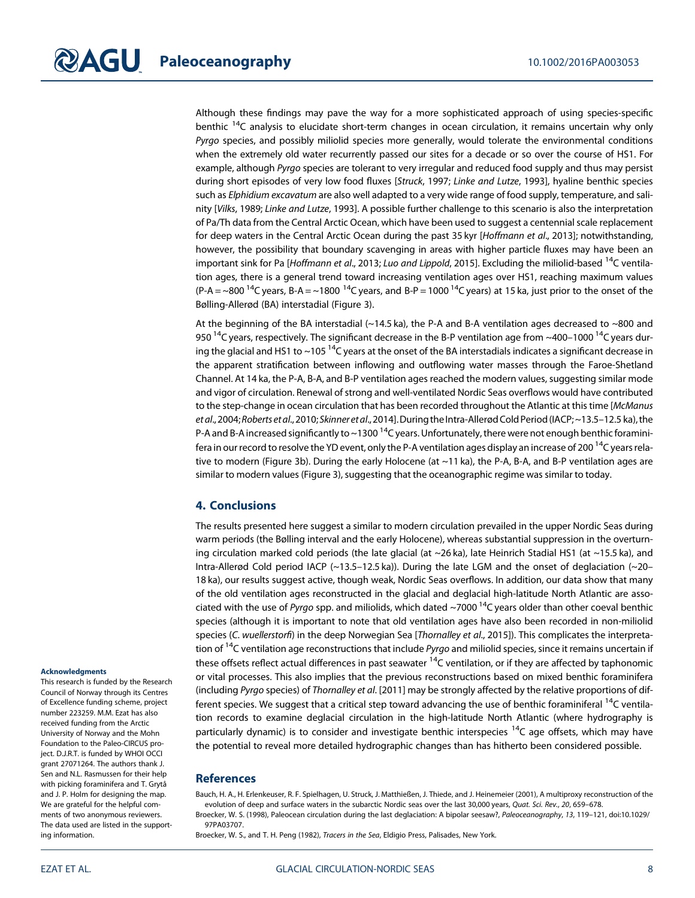Although these findings may pave the way for a more sophisticated approach of using species-specific benthic <sup>14</sup>C analysis to elucidate short-term changes in ocean circulation, it remains uncertain why only Pyrgo species, and possibly miliolid species more generally, would tolerate the environmental conditions when the extremely old water recurrently passed our sites for a decade or so over the course of HS1. For example, although Pyrgo species are tolerant to very irregular and reduced food supply and thus may persist during short episodes of very low food fluxes [Struck, 1997; Linke and Lutze, 1993], hyaline benthic species such as Elphidium excavatum are also well adapted to a very wide range of food supply, temperature, and salinity [Vilks, 1989; Linke and Lutze, 1993]. A possible further challenge to this scenario is also the interpretation of Pa/Th data from the Central Arctic Ocean, which have been used to suggest a centennial scale replacement for deep waters in the Central Arctic Ocean during the past 35 kyr [Hoffmann et al., 2013]; notwithstanding, however, the possibility that boundary scavenging in areas with higher particle fluxes may have been an important sink for Pa [Hoffmann et al., 2013; Luo and Lippold, 2015]. Excluding the miliolid-based  $^{14}C$  ventilation ages, there is a general trend toward increasing ventilation ages over HS1, reaching maximum values (P-A = ~800 <sup>14</sup>C years, B-A = ~1800 <sup>14</sup>C years, and B-P = 1000 <sup>14</sup>C years) at 15 ka, just prior to the onset of the Bølling-Allerød (BA) interstadial (Figure 3).

At the beginning of the BA interstadial (~14.5 ka), the P-A and B-A ventilation ages decreased to ~800 and 950  $^{14}$ C years, respectively. The significant decrease in the B-P ventilation age from ~400–1000  $^{14}$ C years during the glacial and HS1 to ~105 <sup>14</sup>C years at the onset of the BA interstadials indicates a significant decrease in the apparent stratification between inflowing and outflowing water masses through the Faroe-Shetland Channel. At 14 ka, the P-A, B-A, and B-P ventilation ages reached the modern values, suggesting similar mode and vigor of circulation. Renewal of strong and well-ventilated Nordic Seas overflows would have contributed to the step-change in ocean circulation that has been recorded throughout the Atlantic at this time [McManus et al., 2004;Roberts et al., 2010; Skinner et al., 2014].During the Intra-Allerød Cold Period(IACP; ~13.5–12.5 ka), the P-A and B-A increased significantly to  $\sim$ 1300  $^{14}$ C years. Unfortunately, there were not enough benthic foraminifera in our record to resolve the YD event, only the P-A ventilation ages display an increase of 200<sup>14</sup>C years relative to modern (Figure 3b). During the early Holocene (at ~11 ka), the P-A, B-A, and B-P ventilation ages are similar to modern values (Figure 3), suggesting that the oceanographic regime was similar to today.

#### 4. Conclusions

The results presented here suggest a similar to modern circulation prevailed in the upper Nordic Seas during warm periods (the Bølling interval and the early Holocene), whereas substantial suppression in the overturning circulation marked cold periods (the late glacial (at  $\sim$ 26 ka), late Heinrich Stadial HS1 (at  $\sim$ 15.5 ka), and Intra-Allerød Cold period IACP (~13.5–12.5 ka)). During the late LGM and the onset of deglaciation (~20– 18 ka), our results suggest active, though weak, Nordic Seas overflows. In addition, our data show that many of the old ventilation ages reconstructed in the glacial and deglacial high-latitude North Atlantic are associated with the use of Pyrgo spp. and miliolids, which dated ~7000<sup>14</sup>C years older than other coeval benthic species (although it is important to note that old ventilation ages have also been recorded in non-miliolid species (C. wuellerstorfi) in the deep Norwegian Sea [Thornalley et al., 2015]). This complicates the interpretation of <sup>14</sup>C ventilation age reconstructions that include Pyrgo and miliolid species, since it remains uncertain if these offsets reflect actual differences in past seawater <sup>14</sup>C ventilation, or if they are affected by taphonomic or vital processes. This also implies that the previous reconstructions based on mixed benthic foraminifera (including Pyrgo species) of Thornalley et al. [2011] may be strongly affected by the relative proportions of different species. We suggest that a critical step toward advancing the use of benthic foraminiferal  $14C$  ventilation records to examine deglacial circulation in the high-latitude North Atlantic (where hydrography is particularly dynamic) is to consider and investigate benthic interspecies  $14C$  age offsets, which may have the potential to reveal more detailed hydrographic changes than has hitherto been considered possible.

#### **References**

Bauch, H. A., H. Erlenkeuser, R. F. Spielhagen, U. Struck, J. Matthießen, J. Thiede, and J. Heinemeier (2001), A multiproxy reconstruction of the evolution of deep and surface waters in the subarctic Nordic seas over the last 30,000 years, Quat. Sci. Rev., 20, 659-678. Broecker, W. S. (1998), Paleocean circulation during the last deglaciation: A bipolar seesaw?, Paleoceanography, 13, 119-121, doi[:10.1029/](http://doi.org/10.1029/97PA03707) [97PA03707.](http://doi.org/10.1029/97PA03707)

Broecker, W. S., and T. H. Peng (1982), Tracers in the Sea, Eldigio Press, Palisades, New York.

#### **Acknowledgments**

This research is funded by the Research Council of Norway through its Centres of Excellence funding scheme, project number 223259. M.M. Ezat has also received funding from the Arctic University of Norway and the Mohn Foundation to the Paleo-CIRCUS project. D.J.R.T. is funded by WHOI OCCI grant 27071264. The authors thank J. Sen and N.L. Rasmussen for their help with picking foraminifera and T. Grytå and J. P. Holm for designing the map. We are grateful for the helpful comments of two anonymous reviewers. The data used are listed in the supporting information.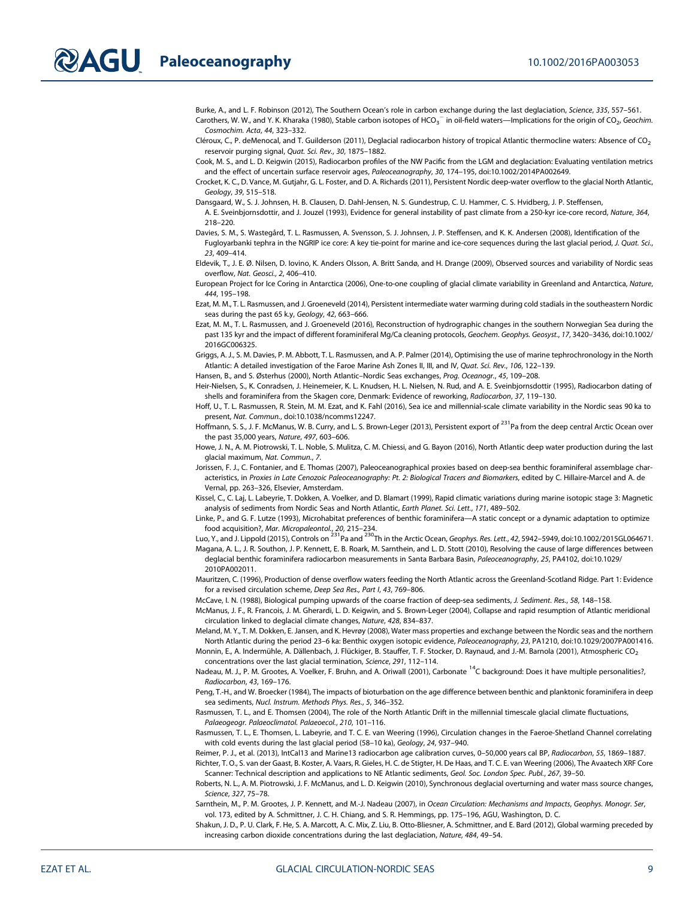Burke, A., and L. F. Robinson (2012), The Southern Ocean's role in carbon exchange during the last deglaciation, Science, 335, 557–561. Carothers, W. W., and Y. K. Kharaka (1980), Stable carbon isotopes of HCO $_3^-$  in oil-field waters—Implications for the origin of CO $_2$ , Geochim. Cosmochim. Acta, 44, 323–332.

Cléroux, C., P. deMenocal, and T. Guilderson (2011), Deglacial radiocarbon history of tropical Atlantic thermocline waters: Absence of CO<sub>2</sub> reservoir purging signal, Quat. Sci. Rev., 30, 1875–1882.

Cook, M. S., and L. D. Keigwin (2015), Radiocarbon profiles of the NW Pacific from the LGM and deglaciation: Evaluating ventilation metrics and the effect of uncertain surface reservoir ages, Paleoceanography, 30, 174–195, doi:[10.1002/2014PA002649.](http://doi.org/10.1002/2014PA002649)

Crocket, K. C., D. Vance, M. Gutjahr, G. L. Foster, and D. A. Richards (2011), Persistent Nordic deep-water overflow to the glacial North Atlantic, Geology, 39, 515–518.

Dansgaard, W., S. J. Johnsen, H. B. Clausen, D. Dahl-Jensen, N. S. Gundestrup, C. U. Hammer, C. S. Hvidberg, J. P. Steffensen,

A. E. Sveinbjornsdottir, and J. Jouzel (1993), Evidence for general instability of past climate from a 250-kyr ice-core record, Nature, 364, 218–220.

Davies, S. M., S. Wastegård, T. L. Rasmussen, A. Svensson, S. J. Johnsen, J. P. Steffensen, and K. K. Andersen (2008), Identification of the Fugloyarbanki tephra in the NGRIP ice core: A key tie-point for marine and ice-core sequences during the last glacial period, J. Quat. Sci., 23, 409–414.

Eldevik, T., J. E. Ø. Nilsen, D. Iovino, K. Anders Olsson, A. Britt Sandø, and H. Drange (2009), Observed sources and variability of Nordic seas overflow, Nat. Geosci., 2, 406–410.

European Project for Ice Coring in Antarctica (2006), One-to-one coupling of glacial climate variability in Greenland and Antarctica, Nature, 444, 195–198.

Ezat, M. M., T. L. Rasmussen, and J. Groeneveld (2014), Persistent intermediate water warming during cold stadials in the southeastern Nordic seas during the past 65 k.y, Geology, 42, 663–666.

Ezat, M. M., T. L. Rasmussen, and J. Groeneveld (2016), Reconstruction of hydrographic changes in the southern Norwegian Sea during the past 135 kyr and the impact of different foraminiferal Mg/Ca cleaning protocols, Geochem. Geophys. Geosyst., 17, 3420-3436, doi[:10.1002/](http://doi.org/10.1002/2016GC006325) [2016GC006325.](http://doi.org/10.1002/2016GC006325)

Griggs, A. J., S. M. Davies, P. M. Abbott, T. L. Rasmussen, and A. P. Palmer (2014), Optimising the use of marine tephrochronology in the North Atlantic: A detailed investigation of the Faroe Marine Ash Zones II, III, and IV, Quat. Sci. Rev., 106, 122–139.

Hansen, B., and S. Østerhus (2000), North Atlantic–Nordic Seas exchanges, Prog. Oceanogr., 45, 109–208.

Heir-Nielsen, S., K. Conradsen, J. Heinemeier, K. L. Knudsen, H. L. Nielsen, N. Rud, and A. E. Sveinbjornsdottir (1995), Radiocarbon dating of shells and foraminifera from the Skagen core, Denmark: Evidence of reworking, Radiocarbon, 37, 119–130.

Hoff, U., T. L. Rasmussen, R. Stein, M. M. Ezat, and K. Fahl (2016), Sea ice and millennial-scale climate variability in the Nordic seas 90 ka to present, Nat. Commun., doi[:10.1038/ncomms12247](http://doi.org/10.1038/ncomms12247).

Hoffmann, S. S., J. F. McManus, W. B. Curry, and L. S. Brown-Leger (2013), Persistent export of <sup>231</sup>Pa from the deep central Arctic Ocean over the past 35,000 years, Nature, 497, 603–606.

Howe, J. N., A. M. Piotrowski, T. L. Noble, S. Mulitza, C. M. Chiessi, and G. Bayon (2016), North Atlantic deep water production during the last glacial maximum, Nat. Commun., 7.

Jorissen, F. J., C. Fontanier, and E. Thomas (2007), Paleoceanographical proxies based on deep-sea benthic foraminiferal assemblage characteristics, in Proxies in Late Cenozoic Paleoceanography: Pt. 2: Biological Tracers and Biomarkers, edited by C. Hillaire-Marcel and A. de Vernal, pp. 263–326, Elsevier, Amsterdam.

Kissel, C., C. Laj, L. Labeyrie, T. Dokken, A. Voelker, and D. Blamart (1999), Rapid climatic variations during marine isotopic stage 3: Magnetic analysis of sediments from Nordic Seas and North Atlantic, Earth Planet. Sci. Lett., 171, 489-502.

Linke, P., and G. F. Lutze (1993), Microhabitat preferences of benthic foraminifera—A static concept or a dynamic adaptation to optimize food acquisition?, *Mar. Micropaleontol., 20,* 215–234.<br>Luo, Y., and J. Lippold (2015), Controls on <sup>231</sup>Pa and <sup>230</sup>Th in the Arctic Ocean, G*eophys. Res. Lett., 42,* 5942–5949, doi[:10.1002/2015GL064671](http://doi.org/10.1002/2015GL064671).

Magana, A. L., J. R. Southon, J. P. Kennett, E. B. Roark, M. Sarnthein, and L. D. Stott (2010), Resolving the cause of large differences between deglacial benthic foraminifera radiocarbon measurements in Santa Barbara Basin, Paleoceanography, 25, PA4102, doi[:10.1029/](http://doi.org/10.1029/2010PA002011) [2010PA002011](http://doi.org/10.1029/2010PA002011).

Mauritzen, C. (1996), Production of dense overflow waters feeding the North Atlantic across the Greenland-Scotland Ridge. Part 1: Evidence for a revised circulation scheme, Deep Sea Res., Part I, 43, 769–806.

McCave, I. N. (1988), Biological pumping upwards of the coarse fraction of deep-sea sediments, J. Sediment. Res., 58, 148–158.

McManus, J. F., R. Francois, J. M. Gherardi, L. D. Keigwin, and S. Brown-Leger (2004), Collapse and rapid resumption of Atlantic meridional circulation linked to deglacial climate changes, Nature, 428, 834–837.

Meland, M. Y., T. M. Dokken, E. Jansen, and K. Hevrøy (2008), Water mass properties and exchange between the Nordic seas and the northern North Atlantic during the period 23–6 ka: Benthic oxygen isotopic evidence, Paleoceanography, 23, PA1210, doi[:10.1029/2007PA001416](http://doi.org/10.1029/2007PA001416). Monnin, E., A. Indermühle, A. Dällenbach, J. Flückiger, B. Stauffer, T. F. Stocker, D. Raynaud, and J.-M. Barnola (2001), Atmospheric CO<sub>2</sub>

concentrations over the last glacial termination, Science, 291, 112–114.

Nadeau, M. J., P. M. Grootes, A. Voelker, F. Bruhn, and A. Oriwall (2001), Carbonate <sup>14</sup>C background: Does it have multiple personalities?, Radiocarbon, 43, 169–176.

Peng, T.-H., and W. Broecker (1984), The impacts of bioturbation on the age difference between benthic and planktonic foraminifera in deep sea sediments, Nucl. Instrum. Methods Phys. Res., 5, 346–352.

Rasmussen, T. L., and E. Thomsen (2004), The role of the North Atlantic Drift in the millennial timescale glacial climate fluctuations, Palaeogeogr. Palaeoclimatol. Palaeoecol., 210, 101–116.

Rasmussen, T. L., E. Thomsen, L. Labeyrie, and T. C. E. van Weering (1996), Circulation changes in the Faeroe-Shetland Channel correlating with cold events during the last glacial period (58–10 ka), Geology, 24, 937–940.

Reimer, P. J., et al. (2013), IntCal13 and Marine13 radiocarbon age calibration curves, 0–50,000 years cal BP, Radiocarbon, 55, 1869–1887. Richter, T. O., S. van der Gaast, B. Koster, A. Vaars, R. Gieles, H. C. de Stigter, H. De Haas, and T. C. E. van Weering (2006), The Avaatech XRF Core

Scanner: Technical description and applications to NE Atlantic sediments, Geol. Soc. London Spec. Publ., 267, 39–50. Roberts, N. L., A. M. Piotrowski, J. F. McManus, and L. D. Keigwin (2010), Synchronous deglacial overturning and water mass source changes,

Science, 327, 75–78. Sarnthein, M., P. M. Grootes, J. P. Kennett, and M.-J. Nadeau (2007), in Ocean Circulation: Mechanisms and Impacts, Geophys. Monogr. Ser,

vol. 173, edited by A. Schmittner, J. C. H. Chiang, and S. R. Hemmings, pp. 175–196, AGU, Washington, D. C.

Shakun, J. D., P. U. Clark, F. He, S. A. Marcott, A. C. Mix, Z. Liu, B. Otto-Bliesner, A. Schmittner, and E. Bard (2012), Global warming preceded by increasing carbon dioxide concentrations during the last deglaciation, Nature, 484, 49–54.